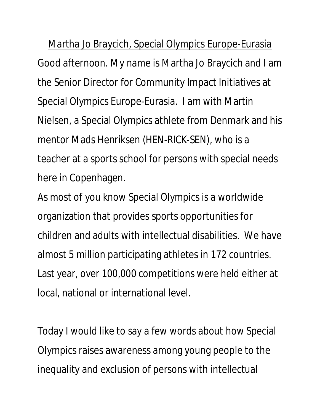Martha Jo Braycich, Special Olympics Europe-Eurasia Good afternoon. My name is Martha Jo Braycich and I am the Senior Director for Community Impact Initiatives at Special Olympics Europe-Eurasia. I am with Martin Nielsen, a Special Olympics athlete from Denmark and his mentor Mads Henriksen (HEN-RICK-SEN), who is a teacher at a sports school for persons with special needs here in Copenhagen.

As most of you know Special Olympics is a worldwide organization that provides sports opportunities for children and adults with intellectual disabilities. We have almost 5 million participating athletes in 172 countries. Last year, over 100,000 competitions were held either at local, national or international level.

Today I would like to say a few words about how Special Olympics raises awareness among young people to the inequality and exclusion of persons with intellectual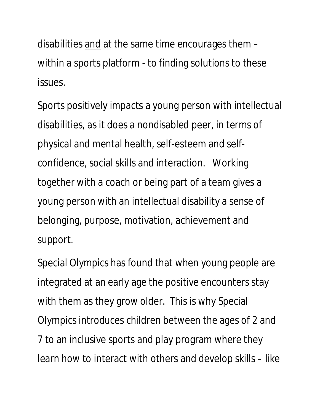disabilities and at the same time encourages them – within a sports platform - to finding solutions to these issues.

Sports positively impacts a young person with intellectual disabilities, as it does a nondisabled peer, in terms of physical and mental health, self-esteem and selfconfidence, social skills and interaction. Working together with a coach or being part of a team gives a young person with an intellectual disability a sense of belonging, purpose, motivation, achievement and support.

Special Olympics has found that when young people are integrated at an early age the positive encounters stay with them as they grow older. This is why Special Olympics introduces children between the ages of 2 and 7 to an inclusive sports and play program where they learn how to interact with others and develop skills – like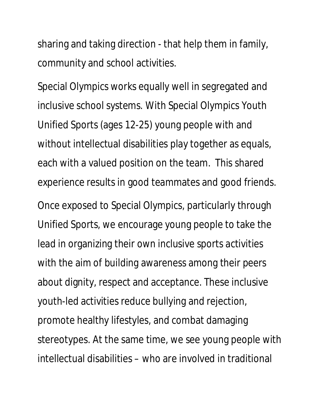sharing and taking direction - that help them in family, community and school activities.

Special Olympics works equally well in segregated and inclusive school systems. With Special Olympics Youth Unified Sports (ages 12-25) young people with and without intellectual disabilities play together as equals, each with a valued position on the team. This shared experience results in good teammates and good friends.

Once exposed to Special Olympics, particularly through Unified Sports, we encourage young people to take the lead in organizing their own inclusive sports activities with the aim of building awareness among their peers about dignity, respect and acceptance. These inclusive youth-led activities reduce bullying and rejection, promote healthy lifestyles, and combat damaging stereotypes. At the same time, we see young people with intellectual disabilities – who are involved in traditional